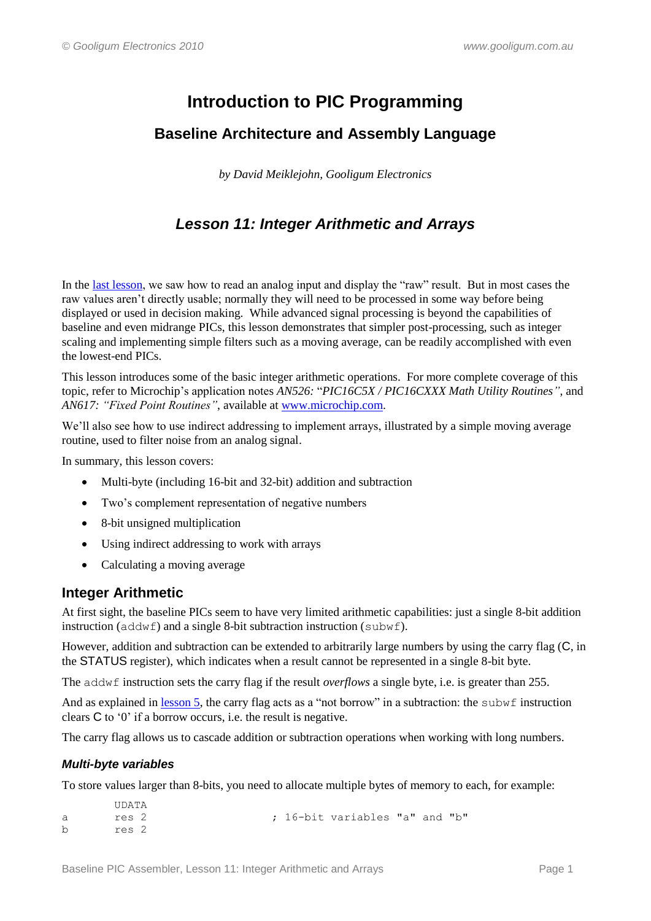# **Introduction to PIC Programming**

# **Baseline Architecture and Assembly Language**

*by David Meiklejohn, Gooligum Electronics*

# *Lesson 11: Integer Arithmetic and Arrays*

In the [last lesson,](http://www.gooligum.com.au/tutorials/baseline/PIC_Base_A_10.pdf) we saw how to read an analog input and display the "raw" result. But in most cases the raw values aren"t directly usable; normally they will need to be processed in some way before being displayed or used in decision making. While advanced signal processing is beyond the capabilities of baseline and even midrange PICs, this lesson demonstrates that simpler post-processing, such as integer scaling and implementing simple filters such as a moving average, can be readily accomplished with even the lowest-end PICs.

This lesson introduces some of the basic integer arithmetic operations. For more complete coverage of this topic, refer to Microchip"s application notes *AN526:* "*PIC16C5X / PIC16CXXX Math Utility Routines"*, and *AN617: "Fixed Point Routines"*, available at [www.microchip.com.](http://www.microchip.com/)

We'll also see how to use indirect addressing to implement arrays, illustrated by a simple moving average routine, used to filter noise from an analog signal.

In summary, this lesson covers:

- Multi-byte (including 16-bit and 32-bit) addition and subtraction
- Two's complement representation of negative numbers
- 8-bit unsigned multiplication
- Using indirect addressing to work with arrays
- Calculating a moving average

# **Integer Arithmetic**

At first sight, the baseline PICs seem to have very limited arithmetic capabilities: just a single 8-bit addition instruction (addwf) and a single 8-bit subtraction instruction (subwf).

However, addition and subtraction can be extended to arbitrarily large numbers by using the carry flag (C, in the STATUS register), which indicates when a result cannot be represented in a single 8-bit byte.

The addwf instruction sets the carry flag if the result *overflows* a single byte, i.e. is greater than 255.

And as explained in [lesson 5,](http://www.gooligum.com.au/tutorials/baseline/PIC_Base_A_5.pdf) the carry flag acts as a "not borrow" in a subtraction: the subwf instruction clears C to "0" if a borrow occurs, i.e. the result is negative.

The carry flag allows us to cascade addition or subtraction operations when working with long numbers.

## *Multi-byte variables*

To store values larger than 8-bits, you need to allocate multiple bytes of memory to each, for example:

```
 UDATA
a res 2 ; 16-bit variables "a" and "b"
b res 2
```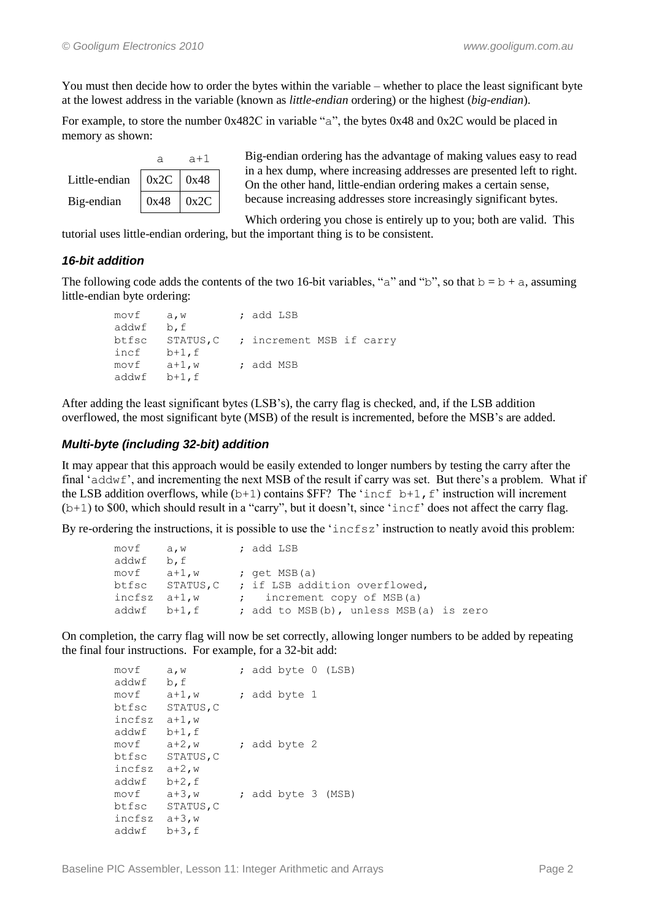You must then decide how to order the bytes within the variable – whether to place the least significant byte at the lowest address in the variable (known as *little-endian* ordering) or the highest (*big-endian*).

For example, to store the number 0x482C in variable "a", the bytes 0x48 and 0x2C would be placed in memory as shown:

|               | а             | $a+1$ |  |
|---------------|---------------|-------|--|
| Little-endian | $0x2C$ $0x48$ |       |  |
| Big-endian    | 0x48          | 0x2C  |  |

Big-endian ordering has the advantage of making values easy to read in a hex dump, where increasing addresses are presented left to right. On the other hand, little-endian ordering makes a certain sense, because increasing addresses store increasingly significant bytes.

Which ordering you chose is entirely up to you; both are valid. This tutorial uses little-endian ordering, but the important thing is to be consistent.

# *16-bit addition*

The following code adds the contents of the two 16-bit variables, "a" and "b", so that  $b = b + a$ , assuming little-endian byte ordering:

```
 movf a,w ; add LSB
 addwf b,f
 btfsc STATUS,C ; increment MSB if carry
 incf b+1,f
movf a+1,w ; add MSB
 addwf b+1,f
```
After adding the least significant bytes (LSB"s), the carry flag is checked, and, if the LSB addition overflowed, the most significant byte (MSB) of the result is incremented, before the MSB"s are added.

## *Multi-byte (including 32-bit) addition*

It may appear that this approach would be easily extended to longer numbers by testing the carry after the final 'addwf', and incrementing the next MSB of the result if carry was set. But there's a problem. What if the LSB addition overflows, while  $(b+1)$  contains \$FF? The 'incf  $b+1$ , f' instruction will increment  $(b+1)$  to \$00, which should result in a "carry", but it doesn't, since 'incf' does not affect the carry flag.

By re-ordering the instructions, it is possible to use the 'incfsz' instruction to neatly avoid this problem:

| ; add LSB<br>movf a,w                                 |  |
|-------------------------------------------------------|--|
| addwf b,f                                             |  |
| $movf$ $a+1,w$<br>; $get MSB(a)$                      |  |
| btfsc STATUS, C ; if LSB addition overflowed,         |  |
| ; increment copy of MSB(a)<br>incfsz $a+1,w$          |  |
| ; add to MSB(b), unless MSB(a) is zero<br>addwf b+1.f |  |

On completion, the carry flag will now be set correctly, allowing longer numbers to be added by repeating the final four instructions. For example, for a 32-bit add:

| movf   | a, w      |  | ; add byte 0 (LSB) |  |
|--------|-----------|--|--------------------|--|
| addwf  | b, f      |  |                    |  |
| movf   | $a+1$ , w |  | ; add byte 1       |  |
| btfsc  | STATUS, C |  |                    |  |
| incfsz | $a+1$ , w |  |                    |  |
| addwf  | $b+1$ , f |  |                    |  |
| movf   | $a+2$ , w |  | ; add byte 2       |  |
| btfsc  | STATUS, C |  |                    |  |
| incfsz | $a+2$ , w |  |                    |  |
| addwf  | $b+2$ , f |  |                    |  |
| movf   | $a+3$ , w |  | ; add byte 3 (MSB) |  |
| btfsc  | STATUS, C |  |                    |  |
| incfsz | $a+3$ , w |  |                    |  |
| addwf  | $b+3$ , f |  |                    |  |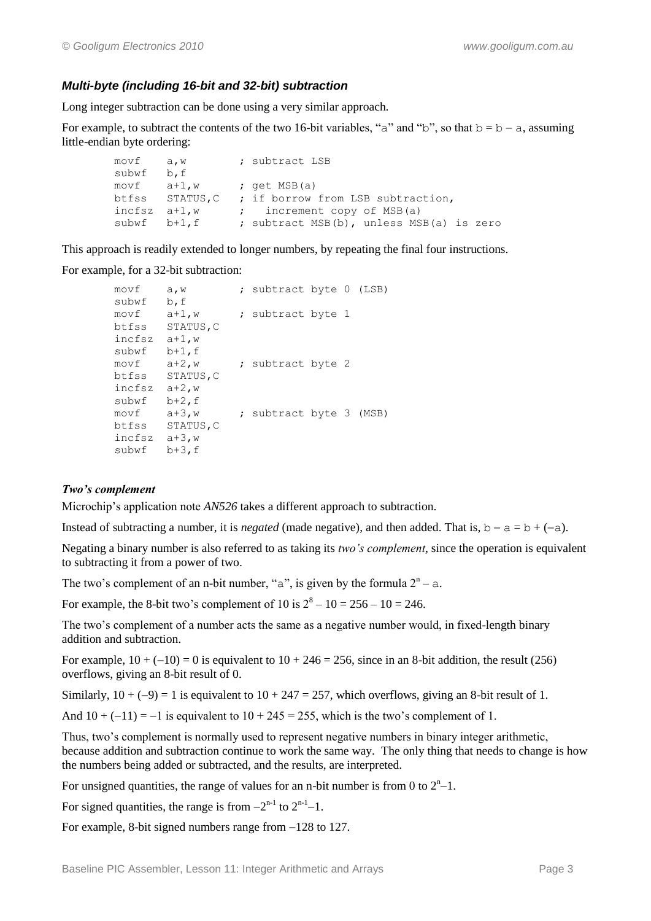## *Multi-byte (including 16-bit and 32-bit) subtraction*

Long integer subtraction can be done using a very similar approach.

For example, to subtract the contents of the two 16-bit variables, "a" and "b", so that  $b = b - a$ , assuming little-endian byte ordering:

```
movf a, w ; subtract LSB
 subwf b,f
movf a+1,w ; get MSB(a)
 btfss STATUS,C ; if borrow from LSB subtraction,
incfsz a+1,w ; increment copy of MSB(a)
subwf b+1, f ; subtract MSB(b), unless MSB(a) is zero
```
This approach is readily extended to longer numbers, by repeating the final four instructions.

For example, for a 32-bit subtraction:

```
movf a, w ; subtract byte 0 (LSB)
 subwf b,f
movf a+1,w ; subtract byte 1
 btfss STATUS,C
 incfsz a+1,w
 subwf b+1,f 
movf a+2, w ; subtract byte 2
 btfss STATUS,C 
 incfsz a+2,w 
 subwf b+2,f 
movf a+3, w ; subtract byte 3 (MSB)
 btfss STATUS,C 
 incfsz a+3,w 
 subwf b+3,f
```
#### *Two's complement*

Microchip"s application note *AN526* takes a different approach to subtraction.

Instead of subtracting a number, it is *negated* (made negative), and then added. That is,  $b - a = b + (-a)$ .

Negating a binary number is also referred to as taking its *two's complement*, since the operation is equivalent to subtracting it from a power of two.

The two's complement of an n-bit number, "a", is given by the formula  $2<sup>n</sup> - a$ .

For example, the 8-bit two's complement of 10 is  $2^8 - 10 = 256 - 10 = 246$ .

The two"s complement of a number acts the same as a negative number would, in fixed-length binary addition and subtraction.

For example,  $10 + (-10) = 0$  is equivalent to  $10 + 246 = 256$ , since in an 8-bit addition, the result (256) overflows, giving an 8-bit result of 0.

Similarly,  $10 + (-9) = 1$  is equivalent to  $10 + 247 = 257$ , which overflows, giving an 8-bit result of 1.

And  $10 + (-11) = -1$  is equivalent to  $10 + 245 = 255$ , which is the two's complement of 1.

Thus, two"s complement is normally used to represent negative numbers in binary integer arithmetic, because addition and subtraction continue to work the same way. The only thing that needs to change is how the numbers being added or subtracted, and the results, are interpreted.

For unsigned quantities, the range of values for an n-bit number is from 0 to  $2<sup>n</sup>-1$ .

For signed quantities, the range is from  $-2^{n-1}$  to  $2^{n-1}-1$ .

For example, 8-bit signed numbers range from  $-128$  to 127.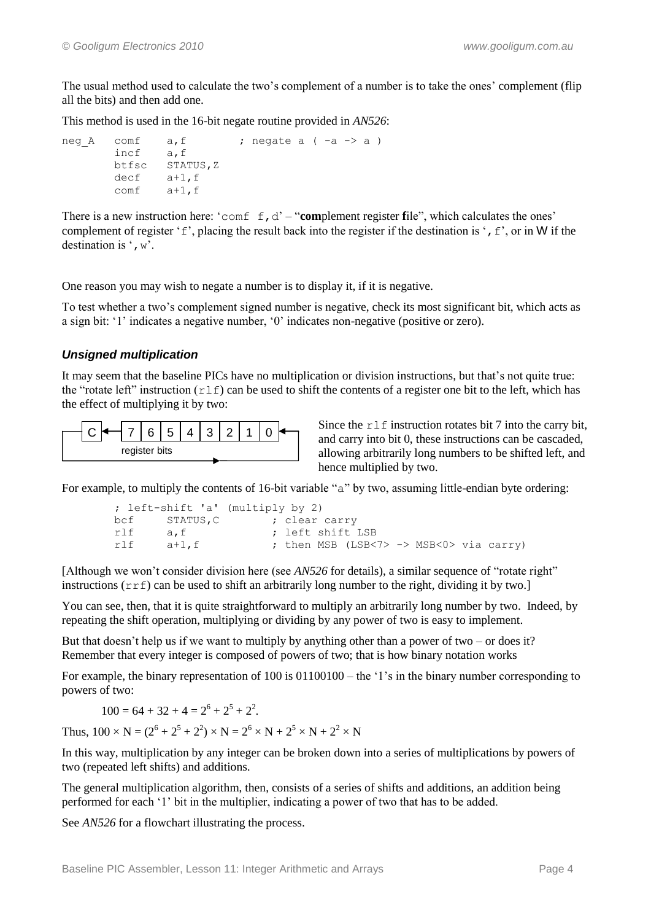The usual method used to calculate the two's complement of a number is to take the ones' complement (flip all the bits) and then add one.

This method is used in the 16-bit negate routine provided in *AN526*:

```
neg A comf a, f ; negate a (-a \rightarrow a)
        incf a,f
        btfsc STATUS,Z
        decf a+1,f
        comf a+1,f
```
There is a new instruction here: ' $\text{conf } f, d' - \text{``complement register file''},$  which calculates the ones' complement of register 'f', placing the result back into the register if the destination is ',  $f'$ , or in W if the destination is  $\cdot$ , w'.

One reason you may wish to negate a number is to display it, if it is negative.

To test whether a two"s complement signed number is negative, check its most significant bit, which acts as a sign bit: "1" indicates a negative number, "0" indicates non-negative (positive or zero).

## *Unsigned multiplication*

It may seem that the baseline PICs have no multiplication or division instructions, but that"s not quite true: the "rotate left" instruction  $(r \perp f)$  can be used to shift the contents of a register one bit to the left, which has the effect of multiplying it by two:



Since the  $r \perp f$  instruction rotates bit 7 into the carry bit, and carry into bit 0, these instructions can be cascaded, allowing arbitrarily long numbers to be shifted left, and hence multiplied by two.

For example, to multiply the contents of 16-bit variable "a" by two, assuming little-endian byte ordering:

```
 ; left-shift 'a' (multiply by 2)
bcf STATUS, C ; clear carry<br>rlf a.f : left shift
rlf a, f ; left shift LSB<br>rlf a+1.f ; then MSB (LSB<
         a+1, f \qquad \qquad ; then MSB (LSB<7> -> MSB<0> via carry)
```
[Although we won"t consider division here (see *AN526* for details), a similar sequence of "rotate right" instructions  $(r \tau f)$  can be used to shift an arbitrarily long number to the right, dividing it by two.]

You can see, then, that it is quite straightforward to multiply an arbitrarily long number by two. Indeed, by repeating the shift operation, multiplying or dividing by any power of two is easy to implement.

But that doesn't help us if we want to multiply by anything other than a power of two – or does it? Remember that every integer is composed of powers of two; that is how binary notation works

For example, the binary representation of 100 is  $01100100 -$  the '1's in the binary number corresponding to powers of two:

$$
100 = 64 + 32 + 4 = 2^6 + 2^5 + 2^2.
$$

Thus,  $100 \times N = (2^6 + 2^5 + 2^2) \times N = 2^6 \times N + 2^5 \times N + 2^2 \times N$ 

In this way, multiplication by any integer can be broken down into a series of multiplications by powers of two (repeated left shifts) and additions.

The general multiplication algorithm, then, consists of a series of shifts and additions, an addition being performed for each "1" bit in the multiplier, indicating a power of two that has to be added.

See *AN526* for a flowchart illustrating the process.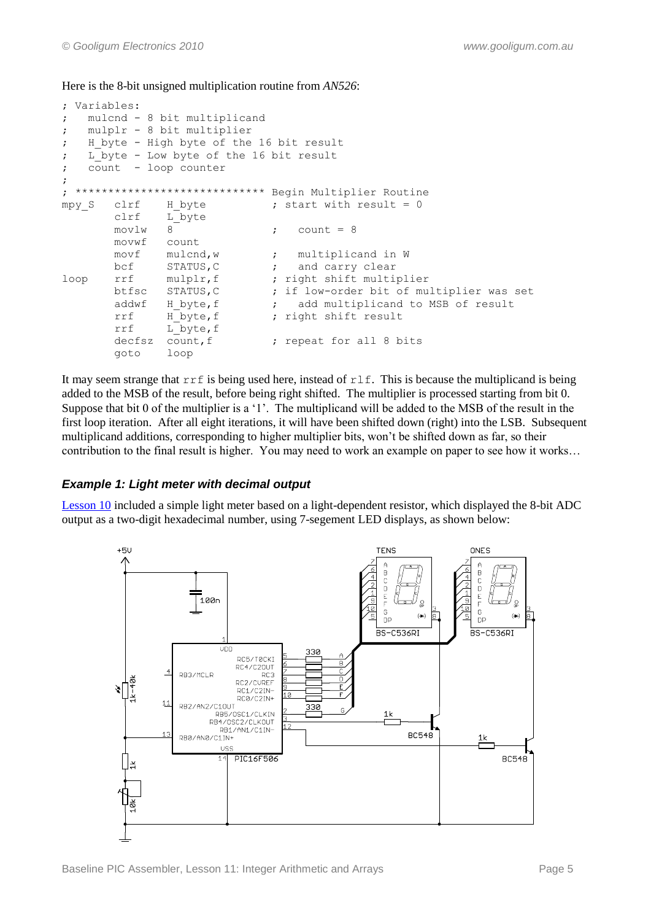Here is the 8-bit unsigned multiplication routine from *AN526*:

```
; Variables:
; mulcnd - 8 bit multiplicand
; mulplr - 8 bit multiplier
; H byte - High byte of the 16 bit result
; L byte - Low byte of the 16 bit result
; count - loop counter
;
; ***************************** Begin Multiplier Routine
mpy_S clrf H_byte ; start with result = 0
       clrf L_byte
      movlw 8 ; count = 8
       movwf count
      movf mulcnd, w ; multiplicand in W
      bcf STATUS, C ; and carry clear
loop rrf mulplr, f ; right shift multiplier
       btfsc STATUS,C ; if low-order bit of multiplier was set
      addwf H byte, f ; add multiplicand to MSB of result
      rrf H byte, f ; right shift result
       rrf L_byte,f
      decfsz count, f ; repeat for all 8 bits
       goto loop
```
It may seem strange that  $rrf$  is being used here, instead of  $rlf$ . This is because the multiplicand is being added to the MSB of the result, before being right shifted. The multiplier is processed starting from bit 0. Suppose that bit 0 of the multiplier is a '1'. The multiplicand will be added to the MSB of the result in the first loop iteration. After all eight iterations, it will have been shifted down (right) into the LSB. Subsequent multiplicand additions, corresponding to higher multiplier bits, won"t be shifted down as far, so their contribution to the final result is higher. You may need to work an example on paper to see how it works…

## *Example 1: Light meter with decimal output*

[Lesson 10](http://www.gooligum.com.au/tutorials/baseline/PIC_Base_A_10.pdf) included a simple light meter based on a light-dependent resistor, which displayed the 8-bit ADC output as a two-digit hexadecimal number, using 7-segement LED displays, as shown below:

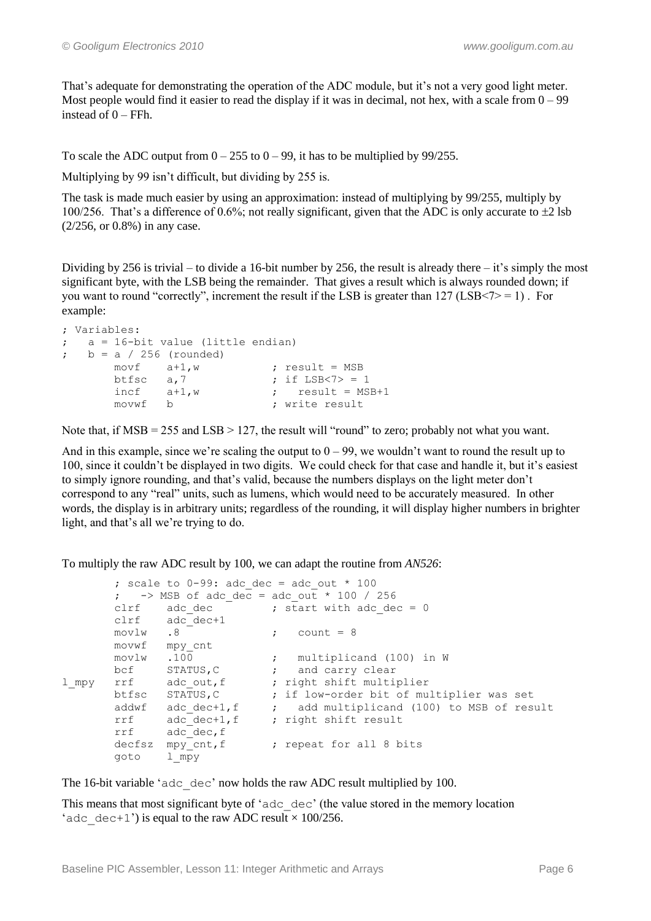That's adequate for demonstrating the operation of the ADC module, but it's not a very good light meter. Most people would find it easier to read the display if it was in decimal, not hex, with a scale from  $0 - 99$ instead of 0 – FFh.

To scale the ADC output from  $0 - 255$  to  $0 - 99$ , it has to be multiplied by 99/255.

Multiplying by 99 isn't difficult, but dividing by 255 is.

The task is made much easier by using an approximation: instead of multiplying by 99/255, multiply by 100/256. That's a difference of 0.6%; not really significant, given that the ADC is only accurate to  $\pm 2$  lsb (2/256, or 0.8%) in any case.

Dividing by 256 is trivial – to divide a 16-bit number by 256, the result is already there – it's simply the most significant byte, with the LSB being the remainder. That gives a result which is always rounded down; if you want to round "correctly", increment the result if the LSB is greater than  $127$  (LSB $\le$ 7> = 1). For example:

```
; Variables:
; a = 16-bit value (little endian)
; b = a / 256 (rounded)
           \begin{minipage}{0.9\linewidth} \texttt{movf} \qquad \texttt{a+1,w} \qquad \qquad \texttt{;} \ \ \texttt{result = MSB} \end{minipage}btfsc a, 7 ; if LSB < 7 > = 1<br>incf a+1, w ; result = MS
           incf a+1,w ; result = MSB+1<br>movwf b ; write result
                      b ; write result
```
Note that, if MSB = 255 and LSB > 127, the result will "round" to zero; probably not what you want.

And in this example, since we're scaling the output to  $0 - 99$ , we wouldn't want to round the result up to 100, since it couldn't be displayed in two digits. We could check for that case and handle it, but it's easiest to simply ignore rounding, and that"s valid, because the numbers displays on the light meter don"t correspond to any "real" units, such as lumens, which would need to be accurately measured. In other words, the display is in arbitrary units; regardless of the rounding, it will display higher numbers in brighter light, and that's all we're trying to do.

To multiply the raw ADC result by 100, we can adapt the routine from *AN526*:

```
; scale to 0-99: adc dec = adc out * 100
       ; -> MSB of adc_dec = adc_out * 100 / 256
      clrf \alpha adc dec \alpha ; start with adc dec = 0
      clrf \operatorname{adc}\nolimits^-dec+1<br>movlw .8
movlw .8 ; count = 8
 movwf mpy_cnt
movlw .100 ; multiplicand (100) in W
bcf STATUS, C \qquad ; and carry clear
l mpy rrf adc out, f ; right shift multiplier
 btfsc STATUS,C ; if low-order bit of multiplier was set
addwf adc dec+1,f ; add multiplicand (100) to MSB of result
rrf adc dec+1,f ; right shift result
rrf adc dec, f
decfsz mpy cnt,f \qquad ; repeat for all 8 bits
       goto l_mpy
```
The 16-bit variable 'adc\_dec' now holds the raw ADC result multiplied by 100.

This means that most significant byte of "adc\_dec" (the value stored in the memory location 'adc dec+1') is equal to the raw ADC result  $\times$  100/256.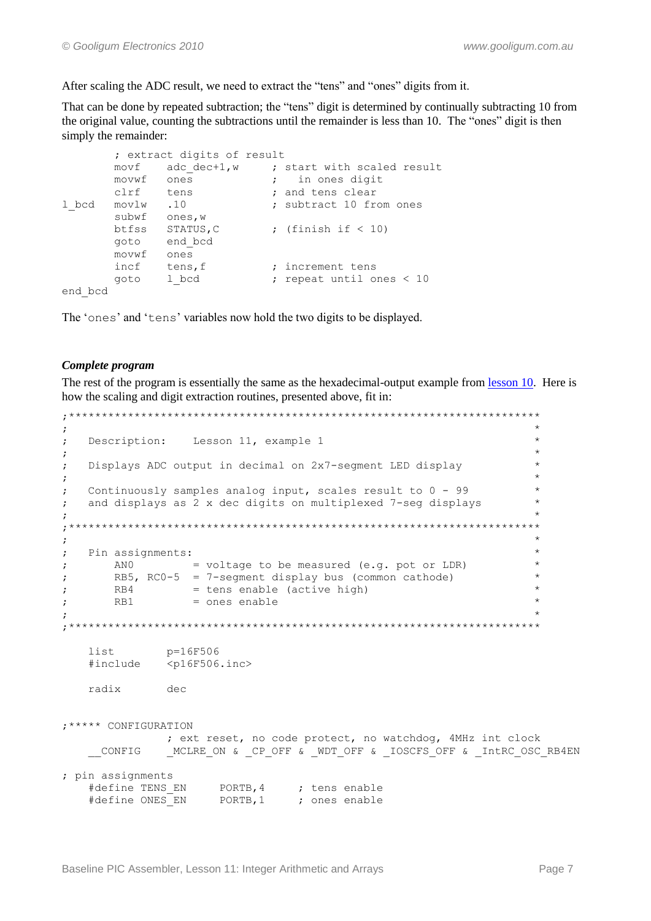After scaling the ADC result, we need to extract the "tens" and "ones" digits from it.

That can be done by repeated subtraction; the "tens" digit is determined by continually subtracting 10 from the original value, counting the subtractions until the remainder is less than 10. The "ones" digit is then simply the remainder:

```
; extract digits of result
        movf auc_use .<br>
movwf ones ; in ones<br>
\begin{array}{ccc} & ; & \text{in one} \\ & + \text{on} \\ & & ; \text{and tens clear} \end{array}movf adc_dec+1,w ; start with scaled result
                                    ; in ones digit
                                   ; subtract 10 from ones
l bcd movlw .10
        subwf ones, w
                                 ; (finish if < 10)
        btfss STATUS, C
        goto end bcd
        movwf ones
        incf tens, f
                                   ; increment tens
         goto 1 bcd
                                   ; repeat until ones < 10
end bcd
```
The 'ones' and 'tens' variables now hold the two digits to be displayed.

#### Complete program

The rest of the program is essentially the same as the hexadecimal-output example from lesson 10. Here is how the scaling and digit extraction routines, presented above, fit in:

```
\cdotDescription: Lesson 11, example 1
\cdot\cdotDisplays ADC output in decimal on 2x7-segment LED display
\cdot\cdotContinuously samples analog input, scales result to 0 - 99\cdotand displays as 2 x dec digits on multiplexed 7-seg displays
\cdot\cdot\cdotPin assignments:
\cdotANO = voltage to be measured (e.g. pot or LDR)
\cdotRB5, RCO-5 = 7-segment display bus (common cathode)
\cdotRB4= tens enable (active high)
\cdotRB1
              = ones enable
\cdot:
p=16F506
  list
  #include
          <p16F506.inc>
  radix
           dec
: ***** CONFIGURATION
          ; ext reset, no code protect, no watchdog, 4MHz int clock
   CONFIG
           MCLRE ON & CP OFF & WDT OFF & IOSCFS OFF & IntRC OSC RB4EN
; pin assignments
```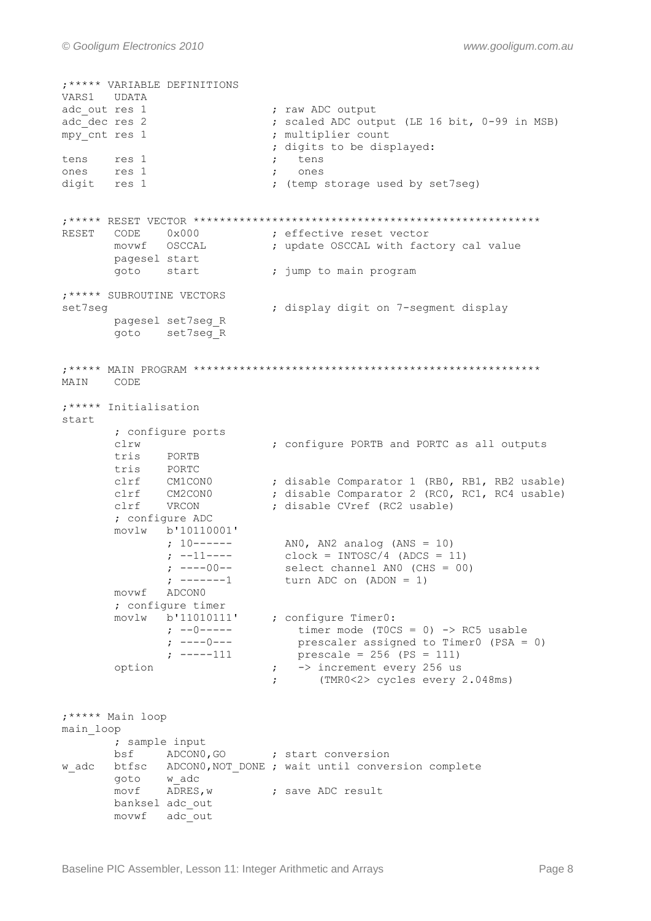```
; ***** VARIABLE DEFINITIONS
VARS1 UDATA
adc out res 1
                                        ; raw ADC output
\frac{1}{\text{sec}} res 2<br>mpy_cnt res 1
                                        ; scaled ADC output (LE 16 bit, 0-99 in MSB)
                                        ; multiplier count
                                         ; digits to be displayed:
tens res 1<br>These res 1
                                              tens
                                          \ddot{i}\langle \rangleones
digit res 1
                                          ; (temp storage used by set7seg)
RESET CODE 0x000 <br>
movwf OSCCAL ; update OSCCAL with factory cal value<br>
pagesel start : where OSCCAL with factory cal value
          pagesel start
          goto start
                                         ; jump to main program
: ***** SUBROUTINE VECTORS
                                         ; display digit on 7-segment display
set7seq
          pagesel set7seg R
          goto set7seg R
MAIN CODE
; ***** Initialisation
start
          ; configure ports
          clrw
                                        ; configure PORTB and PORTC as all outputs
          tris PORTB
          tris PORTC
          clrf CM1CON0 ; disable Comparator 1 (RB0, RB1, RB2 usable)<br>clrf CM2CON0 ; disable Comparator 2 (RC0, RC1, RC4 usable)<br>clrf VRCON ; disable CVref (RC2 usable)<br>; configure ADC
          movlw b'10110001'
                    ; 10------ ANO, AN2 analog (ANS = 10)<br>
; --11---- clock = INTOSC/4 (ADCS = 11)<br>
; ----00-- select channel ANO (CHS = 00)<br>
; -------1 turn ADC on (ADON = 1)
          movwf ADCON0
          movlw b'11010111' ; configure Timer0:<br>
; --0----- timer mode (TOC:<br>
; ----0--- prescaler assign<br>
; -----111 prescale = 256<br>
option
          ; configure timer
                                         timer mode (TOCS = 0) -> RC5 usable<br>prescaler assigned to TimerO (PSA = 0)
                                          prescaler assigned to Time<br>prescale = 256 (PS = 111)<br>; -> increment every 256 us<br>; (TMR0<2> ovelet
          option
                                                   (TMR0<2> cycles every 2.048ms)
; ***** Main loop
main loop
          ; sample input
          \frac{1}{2} bsf \frac{1}{2} ADCON0, GO \frac{1}{2} start conversion
w adc btfsc ADCONO, NOT DONE ; wait until conversion complete
          \frac{1}{\text{goto}} w_adc \frac{1}{\text{�} \cdot \text{y}} = \frac{1}{\text{y}} ; save ADC result
          banksel adc out
          movwf adc out
```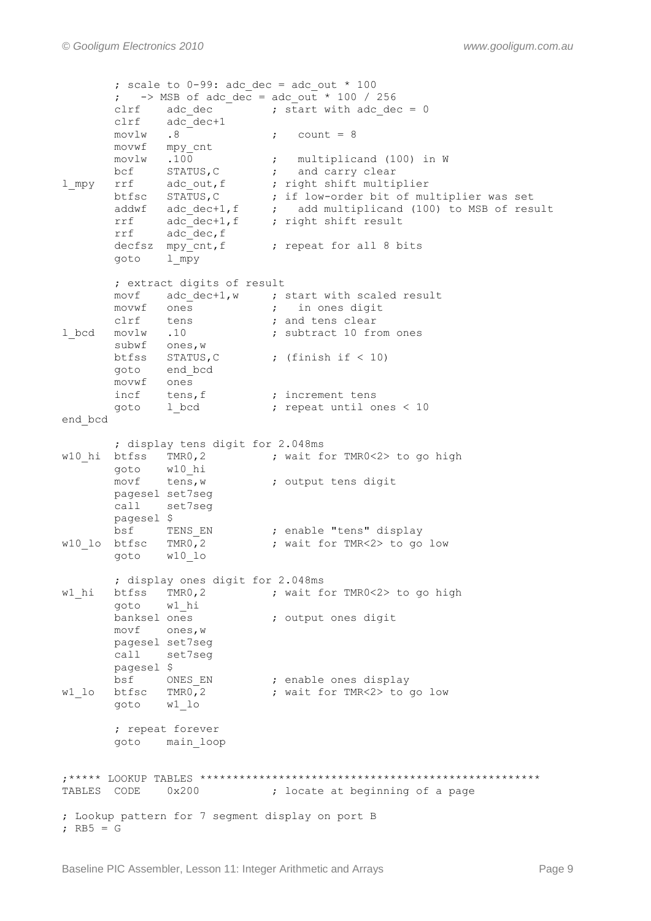; scale to  $0-99$ : adc dec = adc out \* 100 ;  $\rightarrow$  MSB of adc dec = adc out \* 100 / 256 clrf adc\_dec **;** start with adc\_dec = 0 clrf adc\_dec+1  $movlw$  .8 ; count = 8 movwf mpy\_cnt movlw .100 ; multiplicand (100) in W bcf STATUS, C  $\qquad$  ; and carry clear l\_mpy rrf adc\_out, f ; right shift multiplier btfsc STATUS,C ; if low-order bit of multiplier was set addwf adc dec+1,f  $\qquad$  ; add multiplicand (100) to MSB of result rrf adc dec+1,f ; right shift result rrf adc\_dec,f decfsz  $mpy$ <sub>c</sub>cnt, f ; repeat for all 8 bits goto l\_mpy ; extract digits of result movf adc\_dec+1,w ; start with scaled result<br>movwf ones ; in ones digit movwf ones  $\qquad \qquad ; \qquad$  in ones digit clrf tens **;** and tens clear 1 bcd movlw .10 ; subtract 10 from ones subwf ones, w btfss STATUS, C ; (finish if < 10) goto end\_bcd movwf ones incf tens, f  $\qquad$  ; increment tens goto 1 bcd  $\qquad \qquad ;$  repeat until ones < 10 end\_bcd ; display tens digit for 2.048ms  $w10$ <sub>hi</sub> btfss TMR0,2 ; wait for TMR0<2> to go high goto w10\_hi movf tens, w ; output tens digit pagesel set7seg call set7seg pagesel \$ bsf TENS EN ; enable "tens" display w10 lo btfsc TMR0,2 ; wait for TMR<2> to go low goto w10\_lo ; display ones digit for 2.048ms w1\_hi btfss TMR0,2 ; wait for TMR0<2> to go high goto wl\_hi<br>banksel ones ; output ones digit movf ones,w pagesel set7seg call set7seg pagesel \$ bsf ONES EN ; enable ones display w1 lo btfsc TMR0,2 ; wait for TMR<2> to go low goto w1\_lo ; repeat forever goto main\_loop ;\*\*\*\*\* LOOKUP TABLES \*\*\*\*\*\*\*\*\*\*\*\*\*\*\*\*\*\*\*\*\*\*\*\*\*\*\*\*\*\*\*\*\*\*\*\*\*\*\*\*\*\*\*\*\*\*\*\*\*\*\*\* TABLES CODE 0x200 ; locate at beginning of a page ; Lookup pattern for 7 segment display on port B ;  $RB5 = G$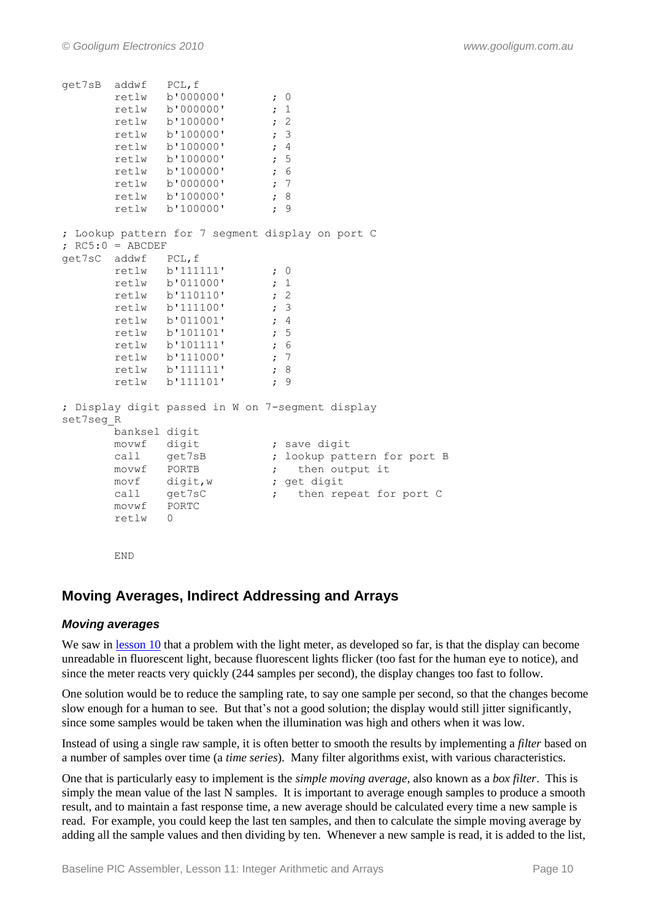```
get7sB addwf PCL,f
       retlw b'000000' ; 0
         retlw b'000000' ; 1
        retlw b'100000' ; 2
        retlw b'100000' ; 3
        retlw b'100000' ; 4
        retlw b'100000' ; 5
        retlw b'100000' ; 6
        retlw b'000000' ; 7
        retlw b'100000' ; 8<br>retlw b'100000' : 9
        retlw b'100000'
; Lookup pattern for 7 segment display on port C
; RC5:0 = ABCDEFget7sC addwf PCL,f
       retlw b'111111' ; 0<br>retlw b'011000' ; 1
        retlw b'011000' ; 1<br>retlw b'110110' : 2
        retlw b'110110'
         retlw b'111100' ; 3
         retlw b'011001' ; 4
        retlw b'101101' ; 5
       retlw b'101111' ; 6
       retlw b'111000' ; 7<br>retlw b'111111' ; 8
       retlw b'111111' ; 8<br>retlw b'111101' ; 9
        retlw b'111101'
; Display digit passed in W on 7-segment display
set7seg_R
         banksel digit
movwf digit ; save digit
call get7sB ; lookup pattern for port B
       movwf PORTB \qquad \qquad ; \qquad then output it
       m \vee n = 1<br>\frac{1}{2} digit, w
        movf digit, w \begin{array}{ccc} ; & \text{get digit} \\ \text{call} & \text{get7sC} \end{array} ; then repeat for port C
        movwf PORTC
         retlw 0
         END
```
# **Moving Averages, Indirect Addressing and Arrays**

#### *Moving averages*

We saw in [lesson 10](http://www.gooligum.com.au/tutorials/baseline/PIC_Base_A_10.pdf) that a problem with the light meter, as developed so far, is that the display can become unreadable in fluorescent light, because fluorescent lights flicker (too fast for the human eye to notice), and since the meter reacts very quickly (244 samples per second), the display changes too fast to follow.

One solution would be to reduce the sampling rate, to say one sample per second, so that the changes become slow enough for a human to see. But that"s not a good solution; the display would still jitter significantly, since some samples would be taken when the illumination was high and others when it was low.

Instead of using a single raw sample, it is often better to smooth the results by implementing a *filter* based on a number of samples over time (a *time series*). Many filter algorithms exist, with various characteristics.

One that is particularly easy to implement is the *simple moving average*, also known as a *box filter*. This is simply the mean value of the last N samples. It is important to average enough samples to produce a smooth result, and to maintain a fast response time, a new average should be calculated every time a new sample is read. For example, you could keep the last ten samples, and then to calculate the simple moving average by adding all the sample values and then dividing by ten. Whenever a new sample is read, it is added to the list,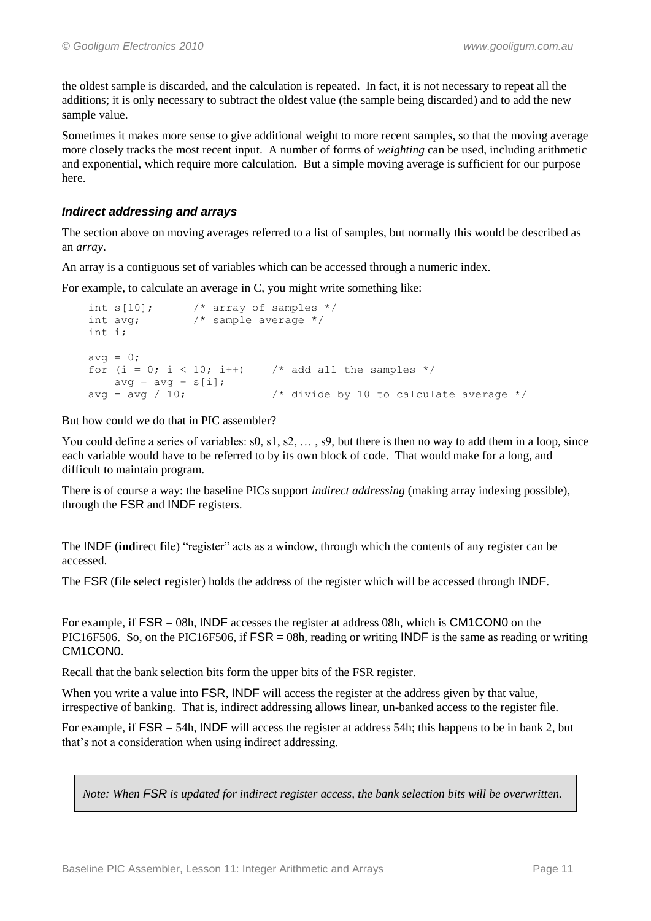the oldest sample is discarded, and the calculation is repeated. In fact, it is not necessary to repeat all the additions; it is only necessary to subtract the oldest value (the sample being discarded) and to add the new sample value.

Sometimes it makes more sense to give additional weight to more recent samples, so that the moving average more closely tracks the most recent input. A number of forms of *weighting* can be used, including arithmetic and exponential, which require more calculation. But a simple moving average is sufficient for our purpose here.

#### *Indirect addressing and arrays*

The section above on moving averages referred to a list of samples, but normally this would be described as an *array*.

An array is a contiguous set of variables which can be accessed through a numeric index.

For example, to calculate an average in C, you might write something like:

```
int s[10]; /* array of samples */
int avg; /* sample average */
int i;
avg = 0;for (i = 0; i < 10; i++) /* add all the samples */
   avg = avg + s[i];avg = avg / 10; \frac{1}{2} /* divide by 10 to calculate average */
```
But how could we do that in PIC assembler?

You could define a series of variables: s0, s1, s2, ..., s9, but there is then no way to add them in a loop, since each variable would have to be referred to by its own block of code. That would make for a long, and difficult to maintain program.

There is of course a way: the baseline PICs support *indirect addressing* (making array indexing possible), through the FSR and INDF registers.

The INDF (**ind**irect **f**ile) "register" acts as a window, through which the contents of any register can be accessed.

The FSR (**f**ile **s**elect **r**egister) holds the address of the register which will be accessed through INDF.

For example, if  $FSR = 08h$ , INDF accesses the register at address 08h, which is CM1CON0 on the PIC16F506. So, on the PIC16F506, if  $FSR = 08h$ , reading or writing INDF is the same as reading or writing CM1CON0.

Recall that the bank selection bits form the upper bits of the FSR register.

When you write a value into FSR, INDF will access the register at the address given by that value, irrespective of banking. That is, indirect addressing allows linear, un-banked access to the register file.

For example, if  $FSR = 54h$ , INDF will access the register at address 54h; this happens to be in bank 2, but that"s not a consideration when using indirect addressing.

*Note: When FSR is updated for indirect register access, the bank selection bits will be overwritten.*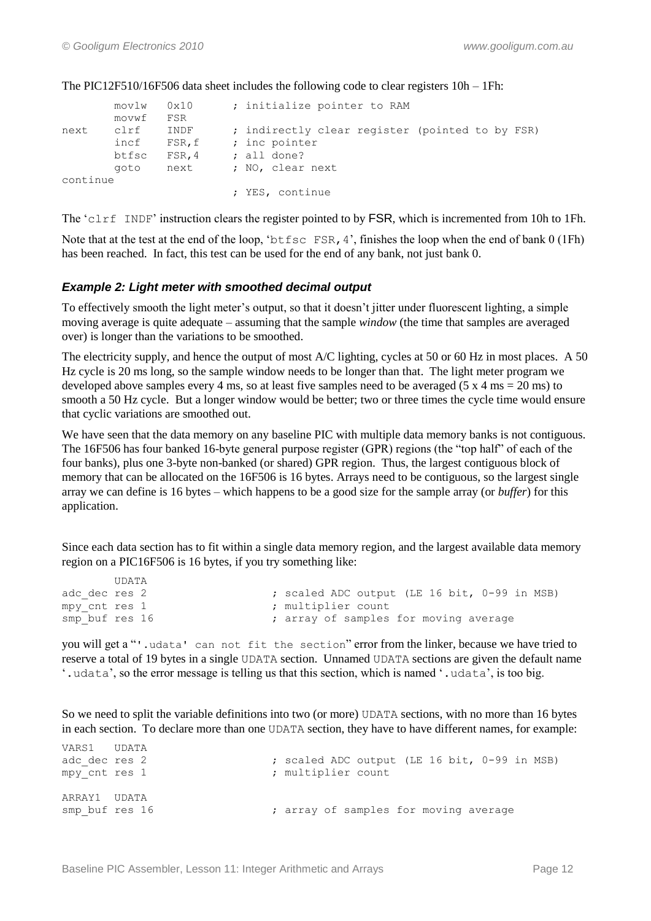|          | movlw 0x10<br>movwf | FSR    | ; initialize pointer to RAM                     |
|----------|---------------------|--------|-------------------------------------------------|
| next     | clrf                | INDF   | ; indirectly clear register (pointed to by FSR) |
|          | incf                | FSR, f | ; inc pointer                                   |
|          | btfsc               | FSR, 4 | $:$ all done?                                   |
|          | aoto                | next   | ; NO, clear next                                |
| continue |                     |        |                                                 |
|          |                     |        | ; YES, continue                                 |

The PIC12F510/16F506 data sheet includes the following code to clear registers 10h – 1Fh:

The "clrf INDF" instruction clears the register pointed to by FSR, which is incremented from 10h to 1Fh.

Note that at the test at the end of the loop, 'btfsc FSR, 4', finishes the loop when the end of bank 0 (1Fh) has been reached. In fact, this test can be used for the end of any bank, not just bank 0.

#### *Example 2: Light meter with smoothed decimal output*

To effectively smooth the light meter"s output, so that it doesn"t jitter under fluorescent lighting, a simple moving average is quite adequate – assuming that the sample *window* (the time that samples are averaged over) is longer than the variations to be smoothed.

The electricity supply, and hence the output of most A/C lighting, cycles at 50 or 60 Hz in most places. A 50 Hz cycle is 20 ms long, so the sample window needs to be longer than that. The light meter program we developed above samples every 4 ms, so at least five samples need to be averaged (5  $\times$  4 ms = 20 ms) to smooth a 50 Hz cycle. But a longer window would be better; two or three times the cycle time would ensure that cyclic variations are smoothed out.

We have seen that the data memory on any baseline PIC with multiple data memory banks is not contiguous. The 16F506 has four banked 16-byte general purpose register (GPR) regions (the "top half" of each of the four banks), plus one 3-byte non-banked (or shared) GPR region. Thus, the largest contiguous block of memory that can be allocated on the 16F506 is 16 bytes. Arrays need to be contiguous, so the largest single array we can define is 16 bytes – which happens to be a good size for the sample array (or *buffer*) for this application.

Since each data section has to fit within a single data memory region, and the largest available data memory region on a PIC16F506 is 16 bytes, if you try something like:

|                | UDATA |  |                                              |  |  |  |  |  |
|----------------|-------|--|----------------------------------------------|--|--|--|--|--|
| adc dec res 2  |       |  | ; scaled ADC output (LE 16 bit, 0-99 in MSB) |  |  |  |  |  |
| mpy cnt res 1  |       |  | ; multiplier count                           |  |  |  |  |  |
| smp buf res 16 |       |  | ; array of samples for moving average        |  |  |  |  |  |

you will get a "'.udata' can not fit the section" error from the linker, because we have tried to reserve a total of 19 bytes in a single UDATA section. Unnamed UDATA sections are given the default name ". udata', so the error message is telling us that this section, which is named '. udata', is too big.

So we need to split the variable definitions into two (or more) UDATA sections, with no more than 16 bytes in each section. To declare more than one UDATA section, they have to have different names, for example:

| VARS1 UDATA<br>adc dec res 2<br>mpy cnt res 1 |  | ; scaled ADC output (LE 16 bit, 0-99 in MSB)<br>; multiplier count |
|-----------------------------------------------|--|--------------------------------------------------------------------|
| ARRAY1 UDATA<br>smp buf res 16                |  | ; array of samples for moving average                              |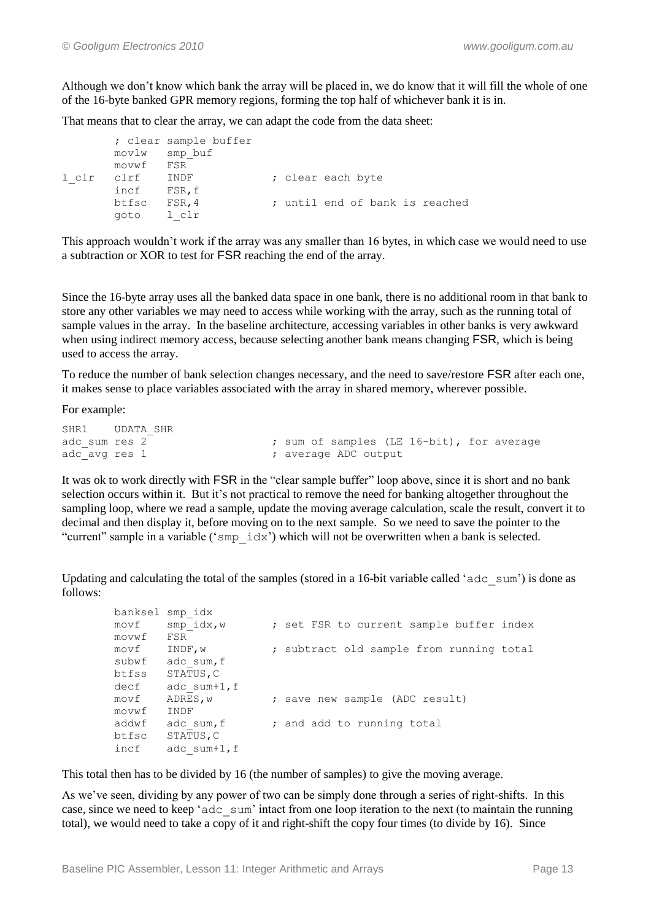Although we don"t know which bank the array will be placed in, we do know that it will fill the whole of one of the 16-byte banked GPR memory regions, forming the top half of whichever bank it is in.

That means that to clear the array, we can adapt the code from the data sheet:

```
 ; clear sample buffer
       movlw smp_buf
       movwf FSR
l clr clrf INDF ; clear each byte
       incf FSR,f
       btfsc FSR,4 ; until end of bank is reached
       goto l_clr
```
This approach wouldn"t work if the array was any smaller than 16 bytes, in which case we would need to use a subtraction or XOR to test for FSR reaching the end of the array.

Since the 16-byte array uses all the banked data space in one bank, there is no additional room in that bank to store any other variables we may need to access while working with the array, such as the running total of sample values in the array. In the baseline architecture, accessing variables in other banks is very awkward when using indirect memory access, because selecting another bank means changing FSR, which is being used to access the array.

To reduce the number of bank selection changes necessary, and the need to save/restore FSR after each one, it makes sense to place variables associated with the array in shared memory, wherever possible.

For example:

```
SHR1 UDATA SHR
adc sum res 2 \overline{\hspace{1cm}} ; sum of samples (LE 16-bit), for average
adc avg res 1 \qquad \qquad ; average ADC output
```
It was ok to work directly with FSR in the "clear sample buffer" loop above, since it is short and no bank selection occurs within it. But it"s not practical to remove the need for banking altogether throughout the sampling loop, where we read a sample, update the moving average calculation, scale the result, convert it to decimal and then display it, before moving on to the next sample. So we need to save the pointer to the "current" sample in a variable ("smp\_idx") which will not be overwritten when a bank is selected.

Updating and calculating the total of the samples (stored in a 16-bit variable called ' $\alpha$ dc sum') is done as follows:

| banksel smp idx |                 |                                          |
|-----------------|-----------------|------------------------------------------|
| movf            | $smp$ idx, w    | ; set FSR to current sample buffer index |
| movwf           | FSR             |                                          |
| movf            | INDF, w         | ; subtract old sample from running total |
| subwf           | adc sum, f      |                                          |
| btfss           | STATUS, C       |                                          |
| decf            | adc $sum+1$ , f |                                          |
| movf            | ADRES, w        | ; save new sample (ADC result)           |
| movwf           | INDF            |                                          |
| addwf           | adc sum, f      | ; and add to running total               |
| btfsc           | STATUS, C       |                                          |
| incf            | adc $sum+1$ , f |                                          |
|                 |                 |                                          |

This total then has to be divided by 16 (the number of samples) to give the moving average.

As we've seen, dividing by any power of two can be simply done through a series of right-shifts. In this case, since we need to keep "adc\_sum" intact from one loop iteration to the next (to maintain the running total), we would need to take a copy of it and right-shift the copy four times (to divide by 16). Since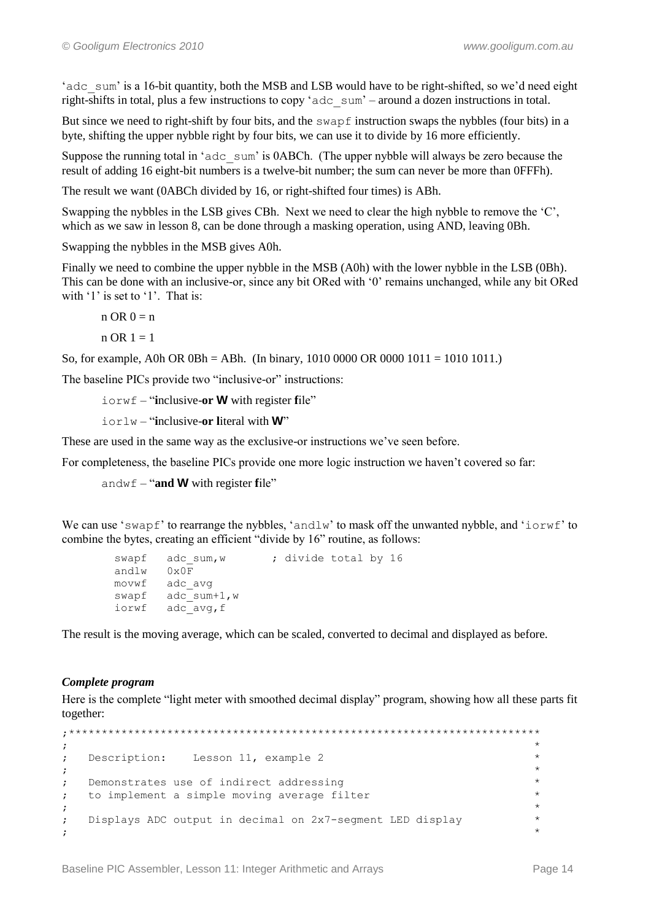'adc sum' is a 16-bit quantity, both the MSB and LSB would have to be right-shifted, so we'd need eight right-shifts in total, plus a few instructions to copy 'adc\_sum' – around a dozen instructions in total.

But since we need to right-shift by four bits, and the swapf instruction swaps the nybbles (four bits) in a byte, shifting the upper nybble right by four bits, we can use it to divide by 16 more efficiently.

Suppose the running total in 'adc sum' is 0ABCh. (The upper nybble will always be zero because the result of adding 16 eight-bit numbers is a twelve-bit number; the sum can never be more than 0FFFh).

The result we want (0ABCh divided by 16, or right-shifted four times) is ABh.

Swapping the nybbles in the LSB gives CBh. Next we need to clear the high nybble to remove the 'C'. which as we saw in lesson 8, can be done through a masking operation, using AND, leaving 0Bh.

Swapping the nybbles in the MSB gives A0h.

Finally we need to combine the upper nybble in the MSB (A0h) with the lower nybble in the LSB (0Bh). This can be done with an inclusive-or, since any bit ORed with "0" remains unchanged, while any bit ORed with '1' is set to '1'. That is:

 $n$  OR  $0 = n$ 

 $n OR 1 = 1$ 

So, for example, A0h OR 0Bh = ABh. (In binary, 1010 0000 OR 0000 1011 = 1010 1011.)

The baseline PICs provide two "inclusive-or" instructions:

iorwf – "**i**nclusive-**or W** with register **f**ile"

iorlw – "**i**nclusive-**or l**iteral with **W**"

These are used in the same way as the exclusive-or instructions we've seen before.

For completeness, the baseline PICs provide one more logic instruction we haven"t covered so far:

andwf – "**and W** with register **f**ile"

We can use 'swapf' to rearrange the nybbles, 'andlw' to mask off the unwanted nybble, and ' $i$ orwf' to combine the bytes, creating an efficient "divide by 16" routine, as follows:

```
swapf adc sum, w ; divide total by 16
       andlw 0x0F<br>movwf adc
 movwf adc_avg
swapf adc sum+1,w
       iorwf adc<sup>_</sup>avg,f
```
The result is the moving average, which can be scaled, converted to decimal and displayed as before.

#### *Complete program*

Here is the complete "light meter with smoothed decimal display" program, showing how all these parts fit together:

```
;************************************************************************
, the contract of the contract of the contract of the contract of the contract of the contract of the contract of the contract of the contract of the contract of the contract of the contract of the contract of the contrac
; Description: Lesson 11, example 2 *
, the contract of the contract of the contract of the contract of the contract of the contract of the contract of the contract of the contract of the contract of the contract of the contract of the contract of the contrac
; Demonstrates use of indirect addressing *; to implement a simple moving average filter
, the contract of the contract of the contract of the contract of the contract of the contract of the contract of the contract of the contract of the contract of the contract of the contract of the contract of the contrac
; Displays ADC output in decimal on 2x7-segment LED display *
; the contract of the contract of the contract of the contract of the contract of the contract of the contract of the contract of the contract of the contract of the contract of the contract of the contract of the contrac
```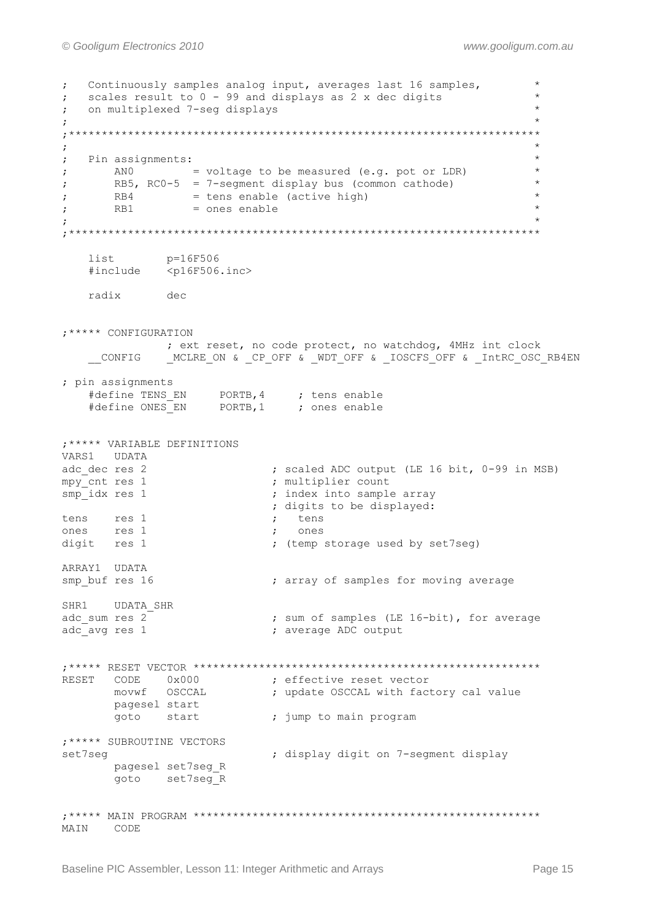Continuously samples analog input, averages last 16 samples,  $\ddot{ }$ scales result to 0 - 99 and displays as 2 x dec digits  $\ddot{ }$ on multiplexed 7-seg displays  $\ddot{r}$  $\ddot{ }$  $\star$  $\ddot{ }$  $\cdot$ Pin assignments:  $\cdot$ ANO  $=$  voltage to be measured (e.g. pot or LDR)  $\star$  $RB5$ , RC0-5 = 7-segment display bus (common cathode)  $\star$  $\cdot$ RB4 = tens enable (active high)<br>RB1 = ones enable  $\cdot$  $\cdot$  $\cdot$ p=16F506 list #include  $<$ p16F506.inc> radix dec ; \*\*\*\*\* CONFIGURATION ; ext reset, no code protect, no watchdog, 4MHz int clock MCLRE ON & CP OFF & WDT OFF & IOSCFS OFF & IntRC OSC RB4EN CONFIG ; pin assignments #define TENS\_EN PORTB, 4 ; tens enable<br>#define ONES\_EN PORTB, 1 ; ones enable ; \*\*\*\*\* VARIABLE DEFINITIONS VARS1 UDATA ; scaled ADC output (LE 16 bit, 0-99 in MSB)<br>. multinlier come: adc dec res 2 adc\_dec res 2<br>mpy\_cnt res 1<br>smp\_idx res 1 ; multiplier count ; index into sample array ; digits to be displayed: tens res 1  $\mathcal{L}$ tens ones res 1 ones  $\rightarrow$ digit res 1 ; (temp storage used by set7seg) ARRAY1 UDATA smp buf res 16 ; array of samples for moving average SHR1 UDATA SHR adc sum res  $2^{-}$ ; sum of samples (LE 16-bit), for average ; average ADC output adc avg res 1 CODE 0x000 <br>
movwf OSCCAL ; update OSCCAL with factory cal value **RESET** pagesel start goto start ; jump to main program ; \*\*\*\*\* SUBROUTINE VECTORS set7seq ; display digit on 7-segment display pagesel set7seg R goto set7seg R MAIN CODE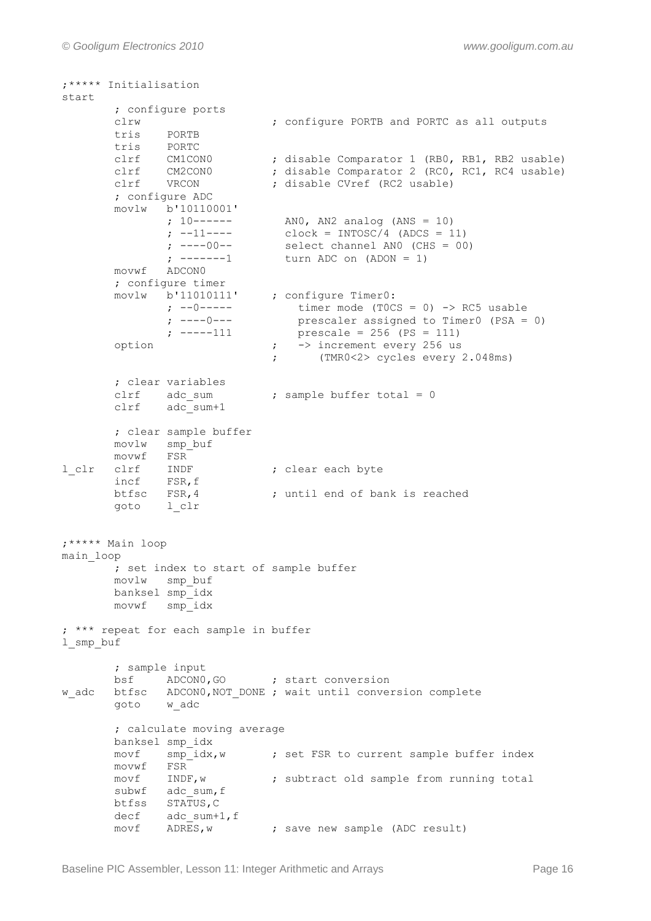```
;***** Initialisation
start 
       ; configure ports 
       clrw ; configure PORTB and PORTC as all outputs
      tris PORTB<br>tris PORTC
 tris PORTC
 clrf CM1CON0 ; disable Comparator 1 (RB0, RB1, RB2 usable)
 clrf CM2CON0 ; disable Comparator 2 (RC0, RC1, RC4 usable)
clrf VRCON ; disable CVref (RC2 usable)
 ; configure ADC
       movlw b'10110001'
 ; 10------ AN0, AN2 analog (ANS = 10)
 ; --11---- clock = INTOSC/4 (ADCS = 11)
 ; ----00-- select channel AN0 (CHS = 00)
 ; -------1 turn ADC on (ADON = 1)
       movwf ADCON0 
       ; configure timer
movlw b'11010111' ; configure Timer0:
 ; --0----- timer mode (T0CS = 0) -> RC5 usable
            ; ----0--- <br>
; -----111 <br>
prescale = 256 (PS = 111)
                            prescale = 256 (PS = 111)option ; -> increment every 256 us
                           ; (TMR0<2> cycles every 2.048ms)
       ; clear variables
      clrf adc sum ; sample buffer total = 0
       clrf adc_sum+1
       ; clear sample buffer
       movlw smp_buf
      movwf FSR
l clr clrf INDF ; clear each byte
 incf FSR,f
      btfsc FSR, 4 ; until end of bank is reached
       goto l_clr
;***** Main loop
main_loop
       ; set index to start of sample buffer
       movlw smp_buf 
       banksel smp_idx 
       movwf smp_idx
; *** repeat for each sample in buffer
l_smp_buf 
       ; sample input
      bsf ADCON0, GO ; start conversion
w adc btfsc ADCON0, NOT DONE ; wait until conversion complete
       goto w_adc
       ; calculate moving average
       banksel smp_idx
      movf smp_idx,w \qquad ; set FSR to current sample buffer index
      movwf FSR<br>movf INDF, w
       movf INDF,w ; subtract old sample from running total
subwf adc sum, f
btfss STATUS, C
decf adc sum+1, f
movf ADRES, w ; save new sample (ADC result)
```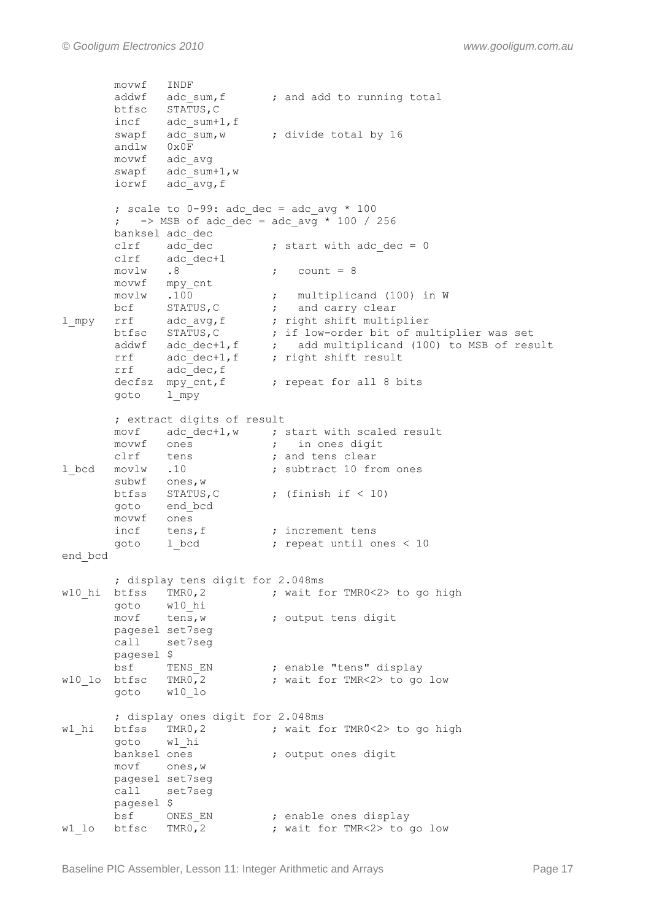```
movwf INDF<br>addwf adc sum, f
                         ; and add to running total
       btfsc STATUS,C
 incf adc_sum+1,f
                       ; divide total by 16
 andlw 0x0F
movwf adc avg
 swapf adc_sum+1,w
 iorwf adc_avg,f
      ; scale to 0-99: adc dec = adc avg * 100
      ; \rightarrow MSB of adc dec = adc avg * 100 / 256
       banksel adc_dec
      clrf adc_dec ; start with adc_dec = 0<br>clrf adc dec+1
 clrf adc_dec+1
movlw .8 ; count = 8
 movwf mpy_cnt
movlw .100 ; multiplicand (100) in W
bcf STATUS, C \cdot ; and carry clear
l mpy rrf adc avg, f ; right shift multiplier
 btfsc STATUS,C ; if low-order bit of multiplier was set
addwf adc dec+1,f \qquad ; add multiplicand (100) to MSB of result
rrf adc dec+1,f ; right shift result
rrf adc dec, f
      decfsz mpy cnt,f ; repeat for all 8 bits
       goto l_mpy
       ; extract digits of result
       movf adc_dec+1,w ; start with scaled result
movwf ones \qquad \qquad ; \qquad in ones digit
clrf tens ; and tens clear
1 bcd movlw .10 ; subtract 10 from ones
subwf ones, w
      btfss STATUS, C ; (finish if < 10)
       goto end_bcd
       movwf ones 
incf tens, f ; increment tens
goto 1 bcd ; repeat until ones < 10
end_bcd
       ; display tens digit for 2.048ms
w10_hi btfss TMR0,2 ; wait for TMR0<2> to go high
      goto w10_hi<br>movf tens, w
                    ; output tens digit
       pagesel set7seg
       call set7seg 
       pagesel $ 
bsf     TENS EN           ; enable "tens" display
w10 lo btfsc TMR0,2 ; wait for TMR<2> to go low
       goto w10_lo
       ; display ones digit for 2.048ms
w1_hi btfss TMR0,2 ; wait for TMR0<2> to go high
       goto w1_hi
      banksel ones (banksel ones digit
       movf ones,w
       pagesel set7seg
       call set7seg 
       pagesel $ 
bsf ONES EN ; enable ones display
w1 lo btfsc TMR0,2 ; wait for TMR<2> to go low
```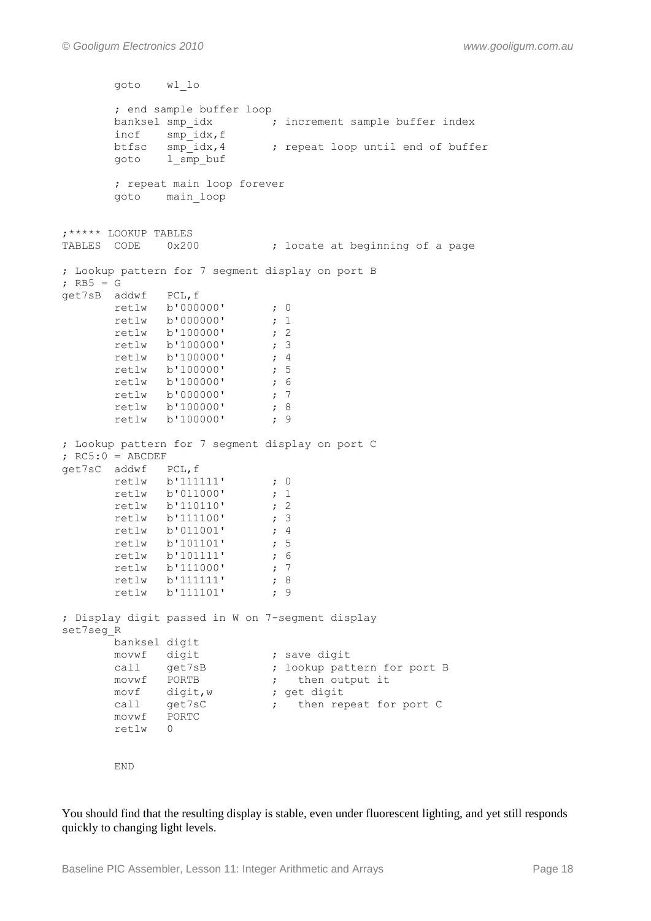```
 goto w1_lo
        ; end sample buffer loop
       banksel smp_idx \qquad \qquad ;\qquad \text{increment sample buffer index}incf smp idx, f
                       ; repeat loop until end of buffer
goto 1 smp buf
        ; repeat main loop forever
        goto main_loop
;***** LOOKUP TABLES
                           ; locate at beginning of a page
; Lookup pattern for 7 segment display on port B
; RB5 = G
get7sB addwf PCL,f
      retlw b'000000' ; 0
      retlw b'000000' ; 1
      retlw b'100000' ; 2
      retlw b'100000' ; 3
      retlw b'100000' ; 4<br>retlw b'100000' ; 5
      retlw b'100000' ; 5<br>retlw b'100000' ; 6
      retlw b'100000' ; 6<br>retlw b'000000' ; 7
      retlw b'000000' ; 7<br>retlw b'100000' ; 8
      retlw b'100000' ; 8<br>retlw b'100000' ; 9
      retlw b'100000'
; Lookup pattern for 7 segment display on port C
; RC5:0 = ABCDEFget7sC addwf PCL,f
      retlw b'111111' ; 0
       retlw b'011000' ; 1
       retlw b'110110' ; 2
       retlw b'111100' ; 3
      retlw b'011001' ; 4<br>retlw b'101101' ; 5
      retlw b'101101'
       retlw b'101111' ; 6
      retlw b'111000' ; 7
       retlw b'111111' ; 8
      retlw b'111101' ; 9
; Display digit passed in W on 7-segment display
set7seg_R
 banksel digit
movwf digit ; save digit
call get7sB ; lookup pattern for port B
movwf PORTB ; then output it
movf digit,w ; get digit
call get7sC ; then repeat for port C
 movwf PORTC
        retlw 0
        END
```
You should find that the resulting display is stable, even under fluorescent lighting, and yet still responds quickly to changing light levels.